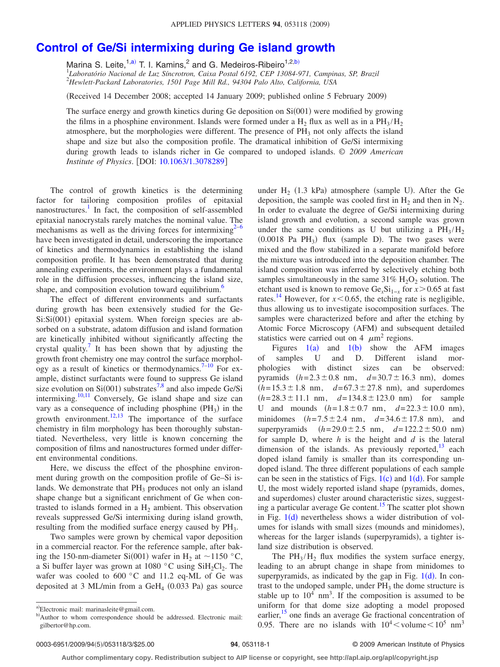## **[Control of Ge/Si intermixing during Ge island growth](http://dx.doi.org/10.1063/1.3078289)**

Marina S. Leite,  $1, a)$  T. I. Kamins, and G. Medeiros-Ribeiro  $1, 2, b$ )

1 *Laboratório Nacional de Luz Síncrotron, Caixa Postal 6192, CEP 13084-971, Campinas, SP, Brazil* 2 *Hewlett-Packard Laboratories, 1501 Page Mill Rd., 94304 Palo Alto, California, USA*

Received 14 December 2008; accepted 14 January 2009; published online 5 February 2009-

The surface energy and growth kinetics during Ge deposition on  $Si(001)$  were modified by growing the films in a phosphine environment. Islands were formed under a H<sub>2</sub> flux as well as in a PH<sub>3</sub>/H<sub>2</sub> atmosphere, but the morphologies were different. The presence of  $PH_3$  not only affects the island shape and size but also the composition profile. The dramatical inhibition of Ge/Si intermixing during growth leads to islands richer in Ge compared to undoped islands. © *2009 American Institute of Physics.* [DOI: [10.1063/1.3078289](http://dx.doi.org/10.1063/1.3078289)]

The control of growth kinetics is the determining factor for tailoring composition profiles of epitaxial nanostructures.<sup>1</sup> In fact, the composition of self-assembled epitaxial nanocrystals rarely matches the nominal value. The mechanisms as well as the driving forces for intermixing $2^{-6}$  $2^{-6}$  $2^{-6}$ have been investigated in detail, underscoring the importance of kinetics and thermodynamics in establishing the island composition profile. It has been demonstrated that during annealing experiments, the environment plays a fundamental role in the diffusion processes, influencing the island size, shape, and composition evolution toward equilibrium.<sup>6</sup>

The effect of different environments and surfactants during growth has been extensively studied for the Ge-Si: Si(001) epitaxial system. When foreign species are absorbed on a substrate, adatom diffusion and island formation are kinetically inhibited without significantly affecting the crystal quality.<sup>7</sup> It has been shown that by adjusting the growth front chemistry one may control the surface morphology as a result of kinetics or thermodynamics.<sup>7-10</sup> For example, distinct surfactants were found to suppress Ge island size evolution on Si $(001)$  substrates<sup>7[,8](#page-2-5)</sup> and also impede Ge/Si intermixing.<sup>10,[11](#page-2-6)</sup> Conversely, Ge island shape and size can vary as a consequence of including phosphine  $(PH_3)$  in the growth environment.<sup>12,[13](#page-2-8)</sup> The importance of the surface chemistry in film morphology has been thoroughly substantiated. Nevertheless, very little is known concerning the composition of films and nanostructures formed under different environmental conditions.

Here, we discuss the effect of the phosphine environment during growth on the composition profile of Ge–Si islands. We demonstrate that  $PH_3$  produces not only an island shape change but a significant enrichment of Ge when contrasted to islands formed in a  $H_2$  ambient. This observation reveals suppressed Ge/Si intermixing during island growth, resulting from the modified surface energy caused by PH<sub>3</sub>.

Two samples were grown by chemical vapor deposition in a commercial reactor. For the reference sample, after baking the 150-nm-diameter Si(001) wafer in H<sub>2</sub> at ~1150 °C, a Si buffer layer was grown at 1080 °C using  $SiH<sub>2</sub>Cl<sub>2</sub>$ . The wafer was cooled to 600 °C and 11.2 eq-ML of Ge was deposited at 3 ML/min from a GeH<sub>4</sub>  $(0.033 \text{ Pa})$  gas source

under  $H_2$  (1.3 kPa) atmosphere (sample U). After the Ge deposition, the sample was cooled first in  $H_2$  and then in  $N_2$ . In order to evaluate the degree of Ge/Si intermixing during island growth and evolution, a second sample was grown under the same conditions as U but utilizing a  $PH_3/H_2$  $(0.0018$  Pa PH<sub>3</sub>) flux (sample D). The two gases were mixed and the flow stabilized in a separate manifold before the mixture was introduced into the deposition chamber. The island composition was inferred by selectively etching both samples simultaneously in the same  $31\%$  H<sub>2</sub>O<sub>2</sub> solution. The etchant used is known to remove  $Ge<sub>x</sub>Si<sub>1-x</sub>$  for  $x > 0.65$  at fast rates.<sup>[14](#page-2-9)</sup> However, for  $x < 0.65$ , the etching rate is negligible, thus allowing us to investigate isocomposition surfaces. The samples were characterized before and after the etching by Atomic Force Microscopy (AFM) and subsequent detailed statistics were carried out on 4  $\mu$ m<sup>2</sup> regions.

Figures  $1(a)$  $1(a)$  and  $1(b)$  show the AFM images of samples U and D. Different island morphologies with distinct sizes can be observed: pyramids  $(h=2.3 \pm 0.8 \text{ nm}, \quad d=30.7 \pm 16.3 \text{ nm})$ , domes  $(h=15.3 \pm 1.8 \text{ nm}, \quad d=67.3 \pm 27.8 \text{ nm}), \text{ and superdomes}$  $(h= 28.3 \pm 11.1 \text{ nm}, \quad d= 134.8 \pm 123.0 \text{ nm})$  for sample U and mounds  $(h=1.8\pm0.7 \text{ nm}, d=22.3\pm10.0 \text{ nm}),$ minidomes  $(h=7.5 \pm 2.4 \text{ nm}, \quad d=34.6 \pm 17.8 \text{ nm})$ , and superpyramids  $(h= 29.0 \pm 2.5 \text{ nm}, d= 122.2 \pm 50.0 \text{ nm})$ for sample D, where *h* is the height and *d* is the lateral dimension of the islands. As previously reported, $13$  each doped island family is smaller than its corresponding undoped island. The three different populations of each sample can be seen in the statistics of Figs.  $1(c)$  $1(c)$  and  $1(d)$ . For sample U, the most widely reported island shape (pyramids, domes, and superdomes) cluster around characteristic sizes, suggesting a particular average Ge content.<sup>15</sup> The scatter plot shown in Fig.  $1(d)$  $1(d)$  nevertheless shows a wider distribution of volumes for islands with small sizes (mounds and minidomes), whereas for the larger islands (superpyramids), a tighter island size distribution is observed.

The  $PH_3/H_2$  flux modifies the system surface energy, leading to an abrupt change in shape from minidomes to superpyramids, as indicated by the gap in Fig.  $1(d)$  $1(d)$ . In contrast to the undoped sample, under  $PH_3$  the dome structure is stable up to  $10^4$  nm<sup>3</sup>. If the composition is assumed to be uniform for that dome size adopting a model proposed earlier,<sup>15</sup> one finds an average Ge fractional concentration of 0.95. There are no islands with  $10^4 <$  volume $< 10^5$  nm<sup>3</sup>

<span id="page-0-1"></span><span id="page-0-0"></span>a)Electronic mail: marinasleite@gmail.com.

b)Author to whom correspondence should be addressed. Electronic mail: gilbertor@hp.com.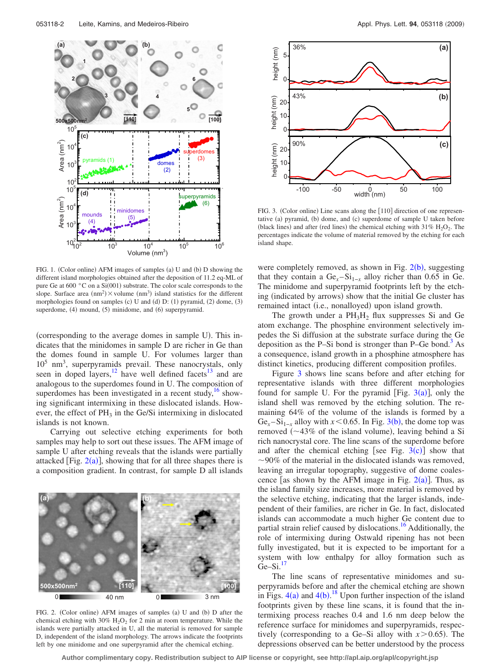<span id="page-1-0"></span>

FIG. 1. (Color online) AFM images of samples (a) U and (b) D showing the different island morphologies obtained after the deposition of 11.2 eq-ML of pure Ge at 600 $\degree$ C on a Si $(001)$  substrate. The color scale corresponds to the slope. Surface area  $(nm^2) \times$  volume  $(nm^3)$  island statistics for the different morphologies found on samples (c) U and (d) D: (1) pyramid, (2) dome, (3) superdome, (4) mound, (5) minidome, and (6) superpyramid.

(corresponding to the average domes in sample U). This indicates that the minidomes in sample D are richer in Ge than the domes found in sample U. For volumes larger than 105 nm3 , superpyramids prevail. These nanocrystals, only seen in doped layers, $\frac{12}{12}$  have well defined facets $\frac{13}{13}$  and are analogous to the superdomes found in U. The composition of superdomes has been investigated in a recent study, $16 \text{ show}$ ing significant intermixing in these dislocated islands. However, the effect of  $PH_3$  in the Ge/Si intermixing in dislocated islands is not known.

Carrying out selective etching experiments for both samples may help to sort out these issues. The AFM image of sample U after etching reveals that the islands were partially attacked [Fig.  $2(a)$  $2(a)$ ], showing that for all three shapes there is a composition gradient. In contrast, for sample D all islands

<span id="page-1-1"></span>

FIG. 2. (Color online) AFM images of samples (a) U and (b) D after the chemical etching with 30%  $H_2O_2$  for 2 min at room temperature. While the islands were partially attacked in U, all the material is removed for sample D, independent of the island morphology. The arrows indicate the footprints left by one minidome and one superpyramid after the chemical etching.

<span id="page-1-2"></span>

FIG. 3. (Color online) Line scans along the [110] direction of one representative (a) pyramid, (b) dome, and (c) superdome of sample U taken before (black lines) and after (red lines) the chemical etching with  $31\%$   $\mathrm{H}_2\mathrm{O}_2$ . The percentages indicate the volume of material removed by the etching for each island shape.

were completely removed, as shown in Fig.  $2(b)$  $2(b)$ , suggesting that they contain a  $Ge<sub>x</sub> – Si<sub>1−x</sub>$  alloy richer than 0.65 in Ge. The minidome and superpyramid footprints left by the etching (indicated by arrows) show that the initial Ge cluster has remained intact (i.e., nonalloyed) upon island growth.

The growth under a  $PH<sub>3</sub>H<sub>2</sub>$  flux suppresses Si and Ge atom exchange. The phosphine environment selectively impedes the Si diffusion at the substrate surface during the Ge deposition as the P–Si bond is stronger than P–Ge bond.<sup>3</sup> As a consequence, island growth in a phosphine atmosphere has distinct kinetics, producing different composition profiles.

Figure [3](#page-1-2) shows line scans before and after etching for representative islands with three different morphologies found for sample U. For the pyramid [Fig.  $3(a)$  $3(a)$ ], only the island shell was removed by the etching solution. The remaining 64% of the volume of the islands is formed by a Ge<sub>*x*</sub>–Si<sub>1−*x*</sub> alloy with *x* < 0.65. In Fig. [3](#page-1-2)(b), the dome top was removed  $(\sim 43\%$  of the island volume), leaving behind a Si rich nanocrystal core. The line scans of the superdome before and after the chemical etching [see Fig.  $3(c)$  $3(c)$ ] show that 90*%* of the material in the dislocated islands was removed, leaving an irregular topography, suggestive of dome coalescence [as shown by the AFM image in Fig.  $2(a)$  $2(a)$ ]. Thus, as the island family size increases, more material is removed by the selective etching, indicating that the larger islands, independent of their families, are richer in Ge. In fact, dislocated islands can accommodate a much higher Ge content due to partial strain relief caused by dislocations[.16](#page-2-11) Additionally, the role of intermixing during Ostwald ripening has not been fully investigated, but it is expected to be important for a system with low enthalpy for alloy formation such as  $Ge-Si.$ <sup>1</sup>

The line scans of representative minidomes and superpyramids before and after the chemical etching are shown in Figs.  $4(a)$  $4(a)$  and  $4(b)$ .<sup>[18](#page-2-15)</sup> Upon further inspection of the island footprints given by these line scans, it is found that the intermixing process reaches 0.4 and 1.6 nm deep below the reference surface for minidomes and superpyramids, respectively (corresponding to a Ge–Si alloy with  $x > 0.65$ ). The depressions observed can be better understood by the process

**Author complimentary copy. Redistribution subject to AIP license or copyright, see http://apl.aip.org/apl/copyright.jsp**